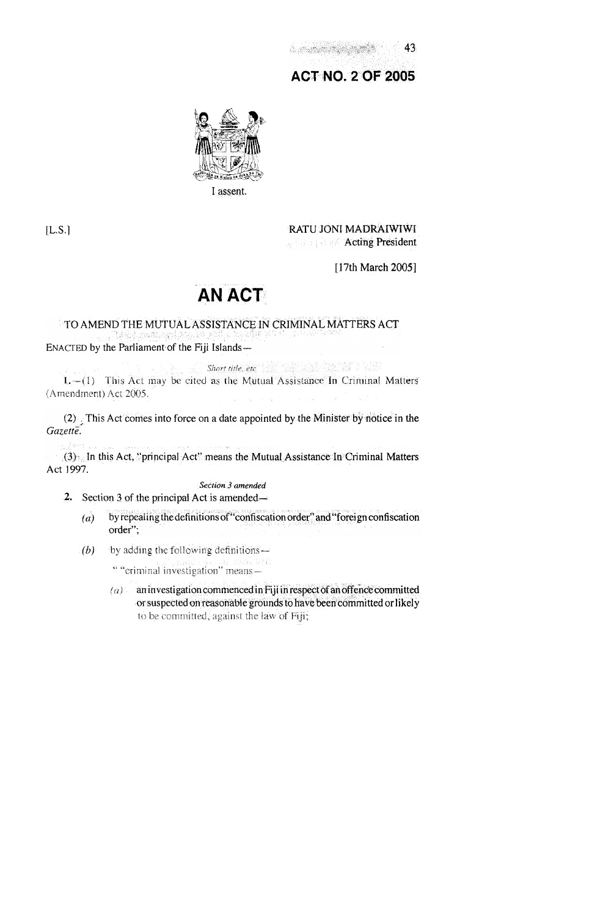-43 

# **ACT NO. 2 OF 2005**



 $[L.S.]$ 

RATU JONI MADRAIWIWI **Acting President** 

[17th March 2005]

# **AN ACT**

# TO AMEND THE MUTUAL ASSISTANCE IN CRIMINAL MATTERS ACT ENACTED by the Parliament of the Fiji Islands-

Short title, etc. (2012) 22 12 (2013)

1.-(1) This Act may be cited as the Mutual Assistance In Criminal Matters (Amendment) Act 2005.

(2) This Act comes into force on a date appointed by the Minister by notice in the Gazette.

(3) In this Act, "principal Act" means the Mutual Assistance In Criminal Matters Act 1997.

Section 3 amended

- 2. Section 3 of the principal Act is amended  $\rightarrow$ 
	- by repealing the definitions of "confiscation order" and "foreign confiscation  $(a)$ order";
	- by adding the following definitions- $(b)$

" "criminal investigation" means-

an investigation commenced in Fiji in respect of an offence committed  $(a)$ . or suspected on reasonable grounds to have been committed or likely to be committed, against the law of Fiji;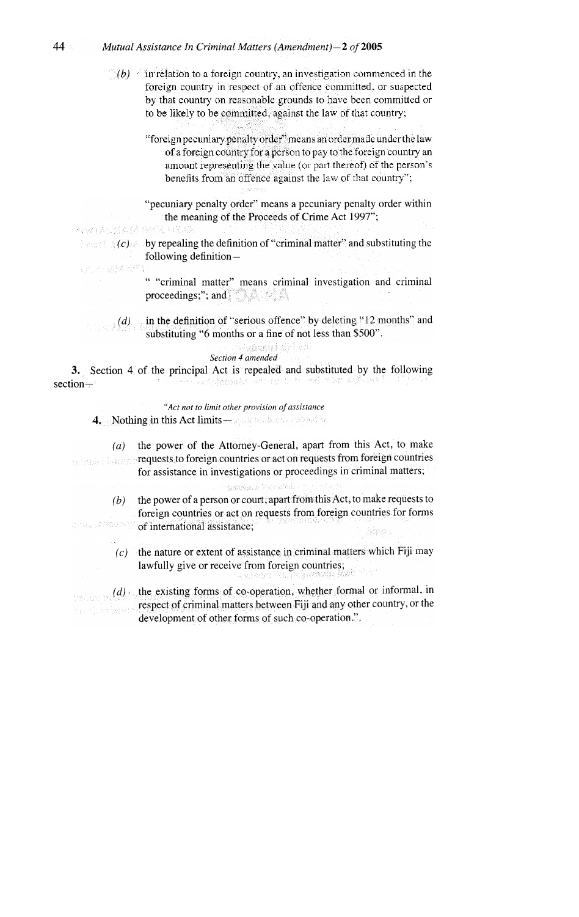# 44 Mutual Assistance In Criminal Matters (Amendment) -  $2$  of 2005

 $(b)$  in relation to a foreign country, an investigation commenced in the foreign country in respect of an offence committed, or suspected by that country on reasonable grounds to have been committed or to be likely to be committed, against the law of that country;

> "foreign pecuniary penalty order" means an order made under the law of a foreign country for a person to pay to the foreign country an amount representing the value (or part thereof) of the person's benefits from an offence against the law of that country";

> "pecuniary penalty order" means a pecuniary penalty order within the meaning of the Proceeds of Crime Act 1997";

e na partitura nega Tan

近比磷酰酸

 $\mathbb{R}^n$   $(c)$  by repealing the definition of "criminal matter" and substituting the following definition-

> " "criminal matter" means criminal investigation and criminal proceedings;"; and  $\Box$

(d) in the definition of "serious offence" by deleting "12 months" and substituting "6 months or a fine of not less than \$500".

#### we<mark>esangied</mark> diri esti Section 4 amended

3. Section 4 of the principal Act is repealed and substituted by the following képhanaha edoaz bod 一场后 化分解 南原 section+

"Act not to limit other provision of assistance 4. Nothing in this Act limits - Frank while the served of

 $(a)$  the power of the Attorney-General, apart from this Act, to make requests to foreign countries or act on requests from foreign countries ocustican for assistance in investigations or proceedings in criminal matters; **Sedanyale** Fix estasi  $(b)$  the power of a person or court; apart from this Act, to make requests to foreign countries or act on requests from foreign countries for forms n mashmuler of international assistance;  $(c)$  the nature or extent of assistance in criminal matters which Fiji may lawfully give or receive from foreign countries;

 $(d)$ , the existing forms of co-operation, whether formal or informal, in arati kekend development of other forms of such co-operation.".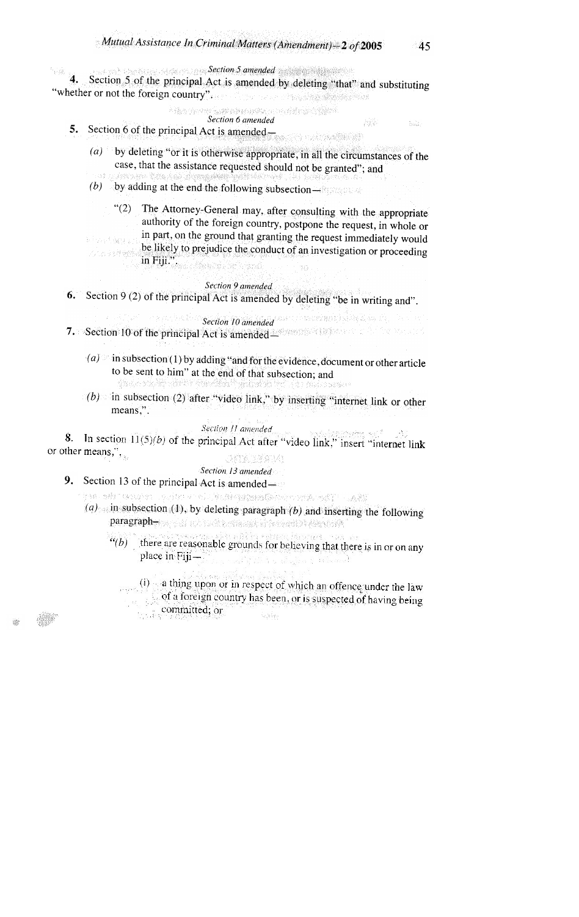45

Acht.

- Alb

#### **Expansion Section 5 amended** and the section of the section of the section of the section of the section of the section of the section of the section of the section of the section of the section of the section of the sect 4.

Section 5 of the principal Act is amended by deleting "that" and substituting "whether or not the foreign country". The Toron Physician Company of the

# 

- Section 6 amended
- 5. Section 6 of the principal Act is amended
	- $(a)$ by deleting "or it is otherwise appropriate, in all the circumstances of the case, that the assistance requested should not be granted"; and
	- (b) by adding at the end the following subsection- $\mathbb{R}$
	- "(2) The Attorney-General may, after consulting with the appropriate authority of the foreign country, postpone the request, in whole or in part, on the ground that granting the request immediately would 短短, 669. be likely to prejudice the conduct of an investigation or proceeding
	- こことの状態性 in Fiji.". Y.O

# Section 9 amended

6. Section 9 (2) of the principal Act is amended by deleting "be in writing and".

- $S$ ection 10 amended  $\frac{1}{2}$  is the section of  $S$ 7. Section 10 of the principal Act is amended assessment to the section of the principal Act is amended
	- (a) in subsection (1) by adding "and for the evidence, document or other article to be sent to him" at the end of that subsection; and Anders de Michael Volken
	- (b) in subsection (2) after "video link," by inserting "internet link or other means,".

#### Section 11 amended

8. In section  $11(5)(b)$  of the principal Act after "video link," insert "internet link" or other means," **SUNDAMIA** 

#### Section 13 amended 9. Section 13 of the principal Act is amended-

an an india companyant parameter and the set

- (a) in subsection (1), by deleting paragraph (b) and inserting the following paragraph-
	- $\lq(a(b))$
	- there are reasonable grounds for believing that there is in or on any place in Fijiing masikipatèn bandangkan kadawanak

(i) a thing upon or in respect of which an offence under the law of a foreign country has been, or is suspected of having being tijes, S committed; or ្នុងឆ្នាំ។  $\mathcal{N}_{\mathbf{q}}\mathcal{N}_{\mathbf{q}}^{\mathbf{1}}\mathcal{N}_{\mathbf{q}}$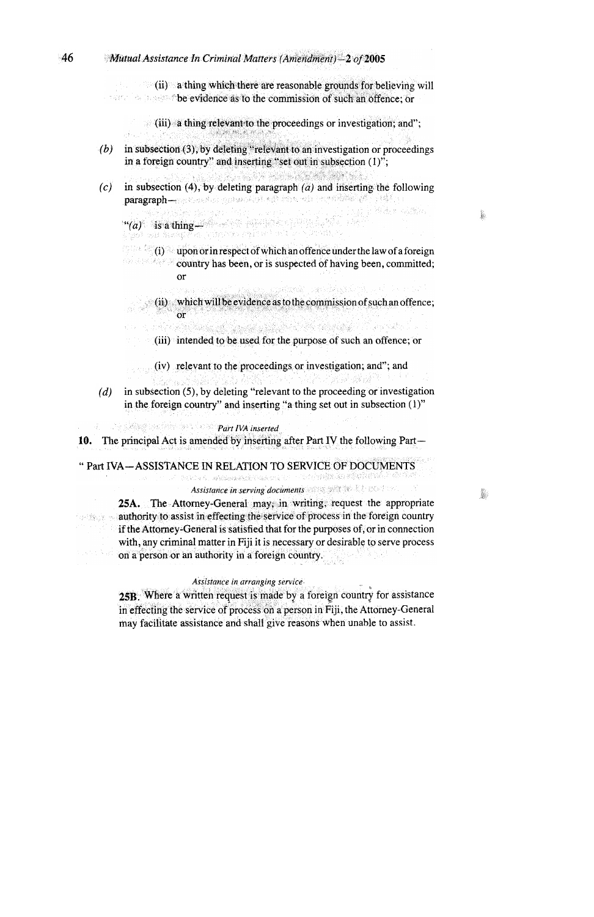#### 46  $M$ utual Assistance In Criminal Matters (Amendment) - 2 of 2005

(ii) a thing which there are reasonable grounds for believing will **Example 3** be evidence as to the commission of such an offence: or

(iii) a thing relevant to the proceedings or investigation; and";

- in subsection (3), by deleting "relevant to an investigation or proceedings  $(b)$ in a foreign country" and inserting "set out in subsection (1)";
- $(c)$ in subsection (4), by deleting paragraph  $(a)$  and inserting the following paragraph-moderation operatorized into with the members of the property

Website Software a da a sa a thing and a series and a series of the series of the series of the series of the series of the series of the series of the series of the series of the series of the series of the series of the series of the ser

j.

I.

 $(1)$  upon or in respect of which an offence under the law of a foreign country has been, or is suspected of having been, committed;  $\alpha$ r

 $(i)$  which will be evidence as to the commission of such an offence;  $\alpha$ r

ofernál

- a sa mga katalog ng mga kalalang ng mga kalalang ng mga kalalang ng mga kalalang ng mga kalalang ng mga kalala<br>Mga kalalang ng mga kalalang ng mga kalalang ng mga kalalang ng mga kalalang ng mga kalalang ng mga kalalang n (iii) intended to be used for the purpose of such an offence; or
- (iv) relevant to the proceedings or investigation; and"; and
- in subsection (5), by deleting "relevant to the proceeding or investigation  $(d)$ in the foreign country" and inserting "a thing set out in subsection (1)"

**Part IVA inserted** 

**PERSONAL SECTION** 

10. The principal Act is amended by inserting after Part IV the following Part—

" Part IVA-ASSISTANCE IN RELATION TO SERVICE OF DOCUMENTS

**The Contract of School Contract Contract** 

Assistance in serving documents and the state of the state of the state of the state of the state of the state of the state of the state of the state of the state of the state of the state of the state of the state of the

・この合金線路

25A. The Attorney-General may, in writing, request the appropriate authority to assist in effecting the service of process in the foreign country if the Attorney-General is satisfied that for the purposes of, or in connection with, any criminal matter in Fiji it is necessary or desirable to serve process on a person or an authority in a foreign country. 14.1921<br>사용

### Assistance in arranging service

25B. Where a written request is made by a foreign country for assistance in effecting the service of process on a person in Fiji, the Attorney-General may facilitate assistance and shall give reasons when unable to assist.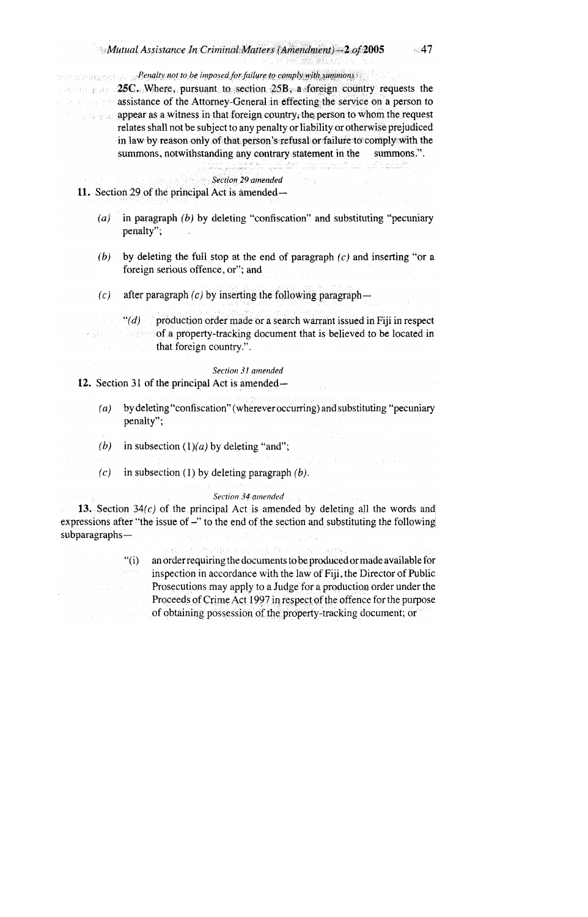# $\mathcal{L}$ Mutual Assistance In Criminal Matters (Amendment) - 2 of 2005

**Penalty not to be imposed for failure to comply with summons Example 25C.** Where, pursuant to section 25B, a foreign country requests the assistance of the Attorney-General in effecting the service on a person to **Example 2018** appear as a witness in that foreign country, the person to whom the request relates shall not be subject to any penalty or liability or otherwise prejudiced in law by reason only of that person's refusal or failure to comply with the summons, notwithstanding any contrary statement in the summons.".

#### Section 29 amended

11. Section 29 of the principal Act is amended—

- in paragraph  $(b)$  by deleting "confiscation" and substituting "pecuniary  $(a)$ penalty";
- by deleting the full stop at the end of paragraph  $(c)$  and inserting "or a  $(b)$ foreign serious offence, or"; and
- $(c)$ after paragraph  $(c)$  by inserting the following paragraph
	- production order made or a search warrant issued in Fiji in respect  $\lq (d)$ of a property-tracking document that is believed to be located in 医感应性 that foreign country.".

# Section 31 amended

12. Section 31 of the principal Act is amended—

医胸膜炎

- by deleting "confiscation" (wherever occurring) and substituting "pecuniary  $(a)$ penalty";
- (b) in subsection  $(1)(a)$  by deleting "and":
- in subsection (1) by deleting paragraph  $(b)$ .  $(c)$

#### Section 34 amended

13. Section  $34(c)$  of the principal Act is amended by deleting all the words and expressions after "the issue of  $-$ " to the end of the section and substituting the following  $subparagraphs-$ 

> an order requiring the documents to be produced or made available for  $``(i)$ inspection in accordance with the law of Fiji, the Director of Public Prosecutions may apply to a Judge for a production order under the Proceeds of Crime Act 1997 in respect of the offence for the purpose of obtaining possession of the property-tracking document; or

 $\omega \sim 200$ 

 $\leq 47$ 

al Sea India

a distrito e persoas de Mortes de<br>Secondo destruziones de la marc